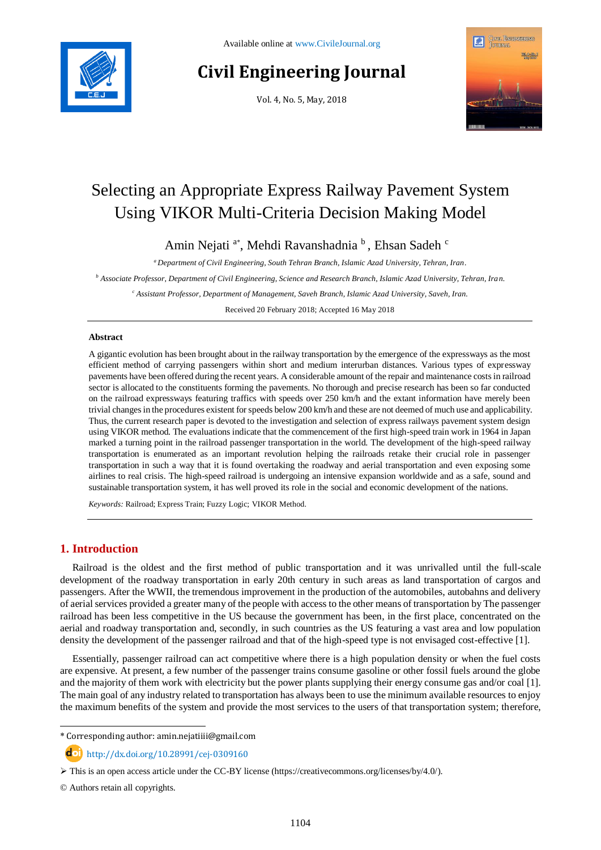# **Civil Engineering Journal**

Vol. 4, No. 5, May, 2018



# Selecting an Appropriate Express Railway Pavement System Using VIKOR Multi-Criteria Decision Making Model

Amin Nejati <sup>a\*</sup>, Mehdi Ravanshadnia <sup>b</sup>, Ehsan Sadeh <sup>c</sup>

*<sup>a</sup> Department of Civil Engineering, South Tehran Branch, Islamic Azad University, Tehran, Iran.*

*<sup>b</sup> Associate Professor, Department of Civil Engineering, Science and Research Branch, Islamic Azad University, Tehran, Iran.*

*<sup>c</sup> Assistant Professor, Department of Management, Saveh Branch, Islamic Azad University, Saveh, Iran.*

Received 20 February 2018; Accepted 16 May 2018

#### **Abstract**

A gigantic evolution has been brought about in the railway transportation by the emergence of the expressways as the most efficient method of carrying passengers within short and medium interurban distances. Various types of expressway pavements have been offered during the recent years. A considerable amount of the repair and maintenance costs in railroad sector is allocated to the constituents forming the pavements. No thorough and precise research has been so far conducted on the railroad expressways featuring traffics with speeds over 250 km/h and the extant information have merely been trivial changes in the procedures existent for speeds below 200 km/h and these are not deemed of much use and applicability. Thus, the current research paper is devoted to the investigation and selection of express railways pavement system design using VIKOR method. The evaluations indicate that the commencement of the first high-speed train work in 1964 in Japan marked a turning point in the railroad passenger transportation in the world. The development of the high-speed railway transportation is enumerated as an important revolution helping the railroads retake their crucial role in passenger transportation in such a way that it is found overtaking the roadway and aerial transportation and even exposing some airlines to real crisis. The high-speed railroad is undergoing an intensive expansion worldwide and as a safe, sound and sustainable transportation system, it has well proved its role in the social and economic development of the nations.

*Keywords:* Railroad; Express Train; Fuzzy Logic; VIKOR Method.

# **1. Introduction**

Railroad is the oldest and the first method of public transportation and it was unrivalled until the full-scale development of the roadway transportation in early 20th century in such areas as land transportation of cargos and passengers. After the WWII, the tremendous improvement in the production of the automobiles, autobahns and delivery of aerial services provided a greater many of the people with access to the other means of transportation by The passenger railroad has been less competitive in the US because the government has been, in the first place, concentrated on the aerial and roadway transportation and, secondly, in such countries as the US featuring a vast area and low population density the development of the passenger railroad and that of the high-speed type is not envisaged cost-effective [1].

Essentially, passenger railroad can act competitive where there is a high population density or when the fuel costs are expensive. At present, a few number of the passenger trains consume gasoline or other fossil fuels around the globe and the majority of them work with electricity but the power plants supplying their energy consume gas and/or coal [1]. The main goal of any industry related to transportation has always been to use the minimum available resources to enjoy the maximum benefits of the system and provide the most services to the users of that transportation system; therefore,

\* Corresponding author: amin.nejatiiii@gmail.com

http://dx.doi.org/10.28991/cej-0309160

 $\triangleright$  This is an open access article under the CC-BY license [\(https://creativecommons.org/licenses/by/4.0/\)](https://creativecommons.org/licenses/by/4.0/).

© Authors retain all copyrights.

l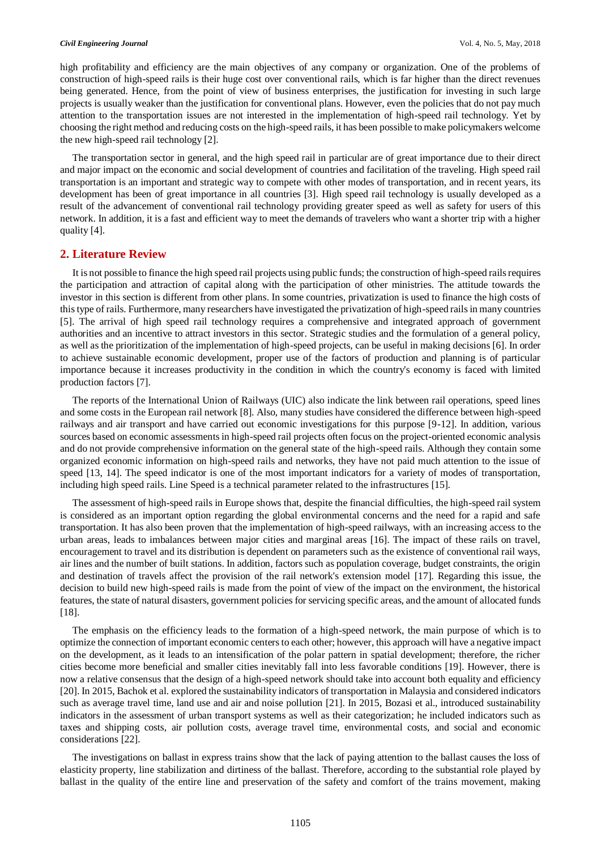high profitability and efficiency are the main objectives of any company or organization. One of the problems of construction of high-speed rails is their huge cost over conventional rails, which is far higher than the direct revenues being generated. Hence, from the point of view of business enterprises, the justification for investing in such large projects is usually weaker than the justification for conventional plans. However, even the policies that do not pay much attention to the transportation issues are not interested in the implementation of high-speed rail technology. Yet by choosing the right method and reducing costs on the high-speed rails, it has been possible to make policymakers welcome the new high-speed rail technology [2].

The transportation sector in general, and the high speed rail in particular are of great importance due to their direct and major impact on the economic and social development of countries and facilitation of the traveling. High speed rail transportation is an important and strategic way to compete with other modes of transportation, and in recent years, its development has been of great importance in all countries [3]. High speed rail technology is usually developed as a result of the advancement of conventional rail technology providing greater speed as well as safety for users of this network. In addition, it is a fast and efficient way to meet the demands of travelers who want a shorter trip with a higher quality [4].

### **2. Literature Review**

It is not possible to finance the high speed rail projects using public funds; the construction of high-speed rails requires the participation and attraction of capital along with the participation of other ministries. The attitude towards the investor in this section is different from other plans. In some countries, privatization is used to finance the high costs of this type of rails. Furthermore, many researchers have investigated the privatization of high-speed rails in many countries [5]. The arrival of high speed rail technology requires a comprehensive and integrated approach of government authorities and an incentive to attract investors in this sector. Strategic studies and the formulation of a general policy, as well as the prioritization of the implementation of high-speed projects, can be useful in making decisions [6]. In order to achieve sustainable economic development, proper use of the factors of production and planning is of particular importance because it increases productivity in the condition in which the country's economy is faced with limited production factors [7].

The reports of the International Union of Railways (UIC) also indicate the link between rail operations, speed lines and some costs in the European rail network [8]. Also, many studies have considered the difference between high-speed railways and air transport and have carried out economic investigations for this purpose [9-12]. In addition, various sources based on economic assessments in high-speed rail projects often focus on the project-oriented economic analysis and do not provide comprehensive information on the general state of the high-speed rails. Although they contain some organized economic information on high-speed rails and networks, they have not paid much attention to the issue of speed [13, 14]. The speed indicator is one of the most important indicators for a variety of modes of transportation, including high speed rails. Line Speed is a technical parameter related to the infrastructures [15].

The assessment of high-speed rails in Europe shows that, despite the financial difficulties, the high-speed rail system is considered as an important option regarding the global environmental concerns and the need for a rapid and safe transportation. It has also been proven that the implementation of high-speed railways, with an increasing access to the urban areas, leads to imbalances between major cities and marginal areas [16]. The impact of these rails on travel, encouragement to travel and its distribution is dependent on parameters such as the existence of conventional rail ways, air lines and the number of built stations. In addition, factors such as population coverage, budget constraints, the origin and destination of travels affect the provision of the rail network's extension model [17]. Regarding this issue, the decision to build new high-speed rails is made from the point of view of the impact on the environment, the historical features, the state of natural disasters, government policies for servicing specific areas, and the amount of allocated funds [18].

The emphasis on the efficiency leads to the formation of a high-speed network, the main purpose of which is to optimize the connection of important economic centers to each other; however, this approach will have a negative impact on the development, as it leads to an intensification of the polar pattern in spatial development; therefore, the richer cities become more beneficial and smaller cities inevitably fall into less favorable conditions [19]. However, there is now a relative consensus that the design of a high-speed network should take into account both equality and efficiency [20]. In 2015, Bachok et al. explored the sustainability indicators of transportation in Malaysia and considered indicators such as average travel time, land use and air and noise pollution [21]. In 2015, Bozasi et al., introduced sustainability indicators in the assessment of urban transport systems as well as their categorization; he included indicators such as taxes and shipping costs, air pollution costs, average travel time, environmental costs, and social and economic considerations [22].

The investigations on ballast in express trains show that the lack of paying attention to the ballast causes the loss of elasticity property, line stabilization and dirtiness of the ballast. Therefore, according to the substantial role played by ballast in the quality of the entire line and preservation of the safety and comfort of the trains movement, making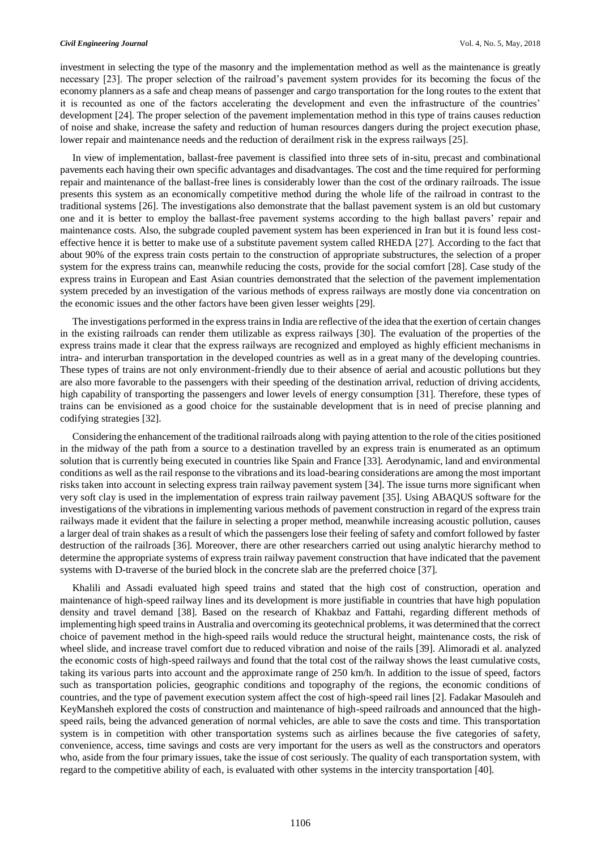investment in selecting the type of the masonry and the implementation method as well as the maintenance is greatly necessary [23]. The proper selection of the railroad's pavement system provides for its becoming the focus of the economy planners as a safe and cheap means of passenger and cargo transportation for the long routes to the extent that it is recounted as one of the factors accelerating the development and even the infrastructure of the countries' development [24]. The proper selection of the pavement implementation method in this type of trains causes reduction of noise and shake, increase the safety and reduction of human resources dangers during the project execution phase, lower repair and maintenance needs and the reduction of derailment risk in the express railways [25].

In view of implementation, ballast-free pavement is classified into three sets of in-situ, precast and combinational pavements each having their own specific advantages and disadvantages. The cost and the time required for performing repair and maintenance of the ballast-free lines is considerably lower than the cost of the ordinary railroads. The issue presents this system as an economically competitive method during the whole life of the railroad in contrast to the traditional systems [26]. The investigations also demonstrate that the ballast pavement system is an old but customary one and it is better to employ the ballast-free pavement systems according to the high ballast pavers' repair and maintenance costs. Also, the subgrade coupled pavement system has been experienced in Iran but it is found less costeffective hence it is better to make use of a substitute pavement system called RHEDA [27]. According to the fact that about 90% of the express train costs pertain to the construction of appropriate substructures, the selection of a proper system for the express trains can, meanwhile reducing the costs, provide for the social comfort [28]. Case study of the express trains in European and East Asian countries demonstrated that the selection of the pavement implementation system preceded by an investigation of the various methods of express railways are mostly done via concentration on the economic issues and the other factors have been given lesser weights [29].

The investigations performed in the express trains in India are reflective of the idea that the exertion of certain changes in the existing railroads can render them utilizable as express railways [30]. The evaluation of the properties of the express trains made it clear that the express railways are recognized and employed as highly efficient mechanisms in intra- and interurban transportation in the developed countries as well as in a great many of the developing countries. These types of trains are not only environment-friendly due to their absence of aerial and acoustic pollutions but they are also more favorable to the passengers with their speeding of the destination arrival, reduction of driving accidents, high capability of transporting the passengers and lower levels of energy consumption [31]. Therefore, these types of trains can be envisioned as a good choice for the sustainable development that is in need of precise planning and codifying strategies [32].

Considering the enhancement of the traditional railroads along with paying attention to the role of the cities positioned in the midway of the path from a source to a destination travelled by an express train is enumerated as an optimum solution that is currently being executed in countries like Spain and France [33]. Aerodynamic, land and environmental conditions as well as the rail response to the vibrations and its load-bearing considerations are among the most important risks taken into account in selecting express train railway pavement system [34]. The issue turns more significant when very soft clay is used in the implementation of express train railway pavement [35]. Using ABAQUS software for the investigations of the vibrations in implementing various methods of pavement construction in regard of the express train railways made it evident that the failure in selecting a proper method, meanwhile increasing acoustic pollution, causes a larger deal of train shakes as a result of which the passengers lose their feeling of safety and comfort followed by faster destruction of the railroads [36]. Moreover, there are other researchers carried out using analytic hierarchy method to determine the appropriate systems of express train railway pavement construction that have indicated that the pavement systems with D-traverse of the buried block in the concrete slab are the preferred choice [37].

Khalili and Assadi evaluated high speed trains and stated that the high cost of construction, operation and maintenance of high-speed railway lines and its development is more justifiable in countries that have high population density and travel demand [38]. Based on the research of Khakbaz and Fattahi, regarding different methods of implementing high speed trains in Australia and overcoming its geotechnical problems, it was determined that the correct choice of pavement method in the high-speed rails would reduce the structural height, maintenance costs, the risk of wheel slide, and increase travel comfort due to reduced vibration and noise of the rails [39]. Alimoradi et al. analyzed the economic costs of high-speed railways and found that the total cost of the railway shows the least cumulative costs, taking its various parts into account and the approximate range of 250 km/h. In addition to the issue of speed, factors such as transportation policies, geographic conditions and topography of the regions, the economic conditions of countries, and the type of pavement execution system affect the cost of high-speed rail lines [2]. Fadakar Masouleh and KeyMansheh explored the costs of construction and maintenance of high-speed railroads and announced that the highspeed rails, being the advanced generation of normal vehicles, are able to save the costs and time. This transportation system is in competition with other transportation systems such as airlines because the five categories of safety, convenience, access, time savings and costs are very important for the users as well as the constructors and operators who, aside from the four primary issues, take the issue of cost seriously. The quality of each transportation system, with regard to the competitive ability of each, is evaluated with other systems in the intercity transportation [40].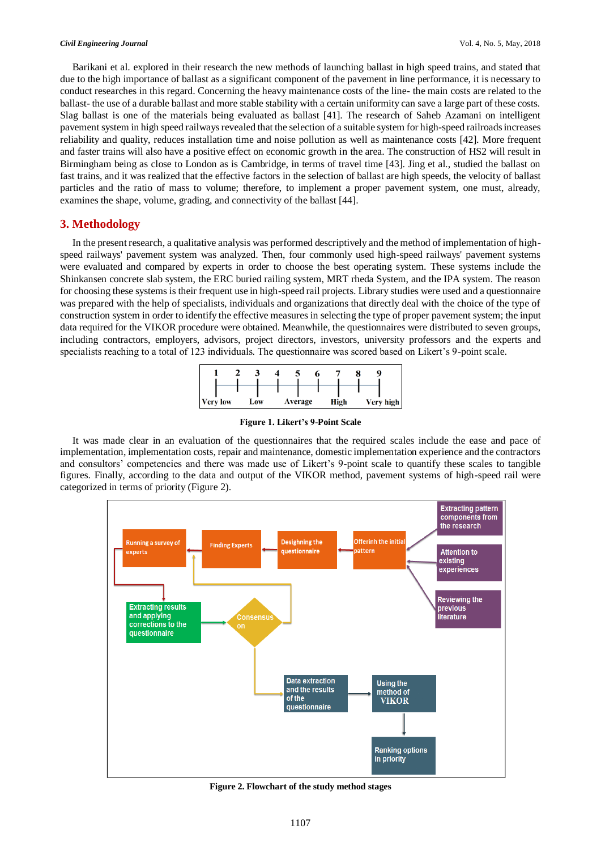Barikani et al. explored in their research the new methods of launching ballast in high speed trains, and stated that due to the high importance of ballast as a significant component of the pavement in line performance, it is necessary to conduct researches in this regard. Concerning the heavy maintenance costs of the line- the main costs are related to the ballast- the use of a durable ballast and more stable stability with a certain uniformity can save a large part of these costs. Slag ballast is one of the materials being evaluated as ballast [41]. The research of Saheb Azamani on intelligent pavement system in high speed railways revealed that the selection of a suitable system for high-speed railroads increases reliability and quality, reduces installation time and noise pollution as well as maintenance costs [42]. More frequent and faster trains will also have a positive effect on economic growth in the area. The construction of HS2 will result in Birmingham being as close to London as is Cambridge, in terms of travel time [43]. Jing et al., studied the ballast on fast trains, and it was realized that the effective factors in the selection of ballast are high speeds, the velocity of ballast particles and the ratio of mass to volume; therefore, to implement a proper pavement system, one must, already, examines the shape, volume, grading, and connectivity of the ballast [44].

## **3. Methodology**

In the present research, a qualitative analysis was performed descriptively and the method of implementation of highspeed railways' pavement system was analyzed. Then, four commonly used high-speed railways' pavement systems were evaluated and compared by experts in order to choose the best operating system. These systems include the Shinkansen concrete slab system, the ERC buried railing system, MRT rheda System, and the IPA system. The reason for choosing these systems is their frequent use in high-speed rail projects. Library studies were used and a questionnaire was prepared with the help of specialists, individuals and organizations that directly deal with the choice of the type of construction system in order to identify the effective measures in selecting the type of proper pavement system; the input data required for the VIKOR procedure were obtained. Meanwhile, the questionnaires were distributed to seven groups, including contractors, employers, advisors, project directors, investors, university professors and the experts and specialists reaching to a total of 123 individuals. The questionnaire was scored based on Likert's 9-point scale.



**Figure 1. Likert's 9-Point Scale**

It was made clear in an evaluation of the questionnaires that the required scales include the ease and pace of implementation, implementation costs, repair and maintenance, domestic implementation experience and the contractors and consultors' competencies and there was made use of Likert's 9-point scale to quantify these scales to tangible figures. Finally, according to the data and output of the VIKOR method, pavement systems of high-speed rail were categorized in terms of priority (Figure 2).



**Figure 2. Flowchart of the study method stages**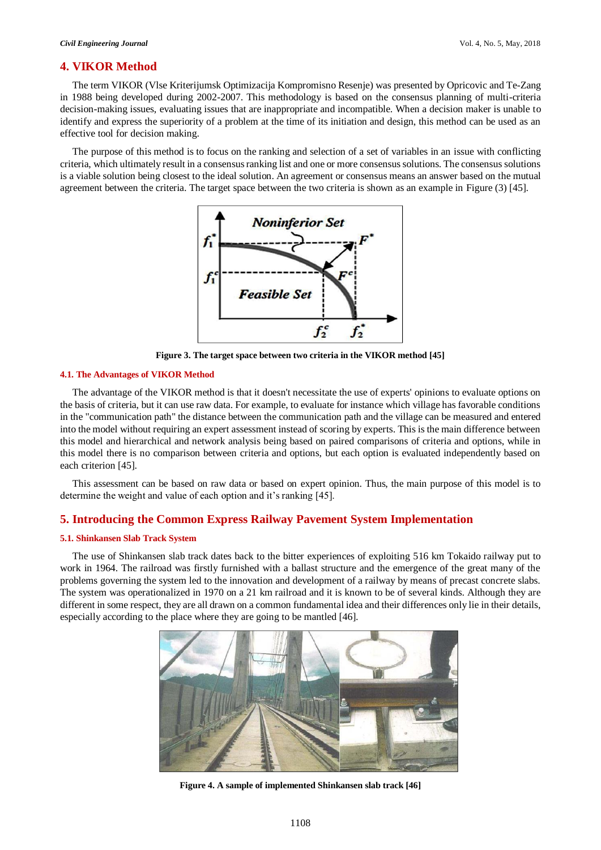## **4. VIKOR Method**

The term VIKOR (Vlse Kriterijumsk Optimizacija Kompromisno Resenje) was presented by Opricovic and Te-Zang in 1988 being developed during 2002-2007. This methodology is based on the consensus planning of multi-criteria decision-making issues, evaluating issues that are inappropriate and incompatible. When a decision maker is unable to identify and express the superiority of a problem at the time of its initiation and design, this method can be used as an effective tool for decision making.

The purpose of this method is to focus on the ranking and selection of a set of variables in an issue with conflicting criteria, which ultimately result in a consensus ranking list and one or more consensus solutions. The consensus solutions is a viable solution being closest to the ideal solution. An agreement or consensus means an answer based on the mutual agreement between the criteria. The target space between the two criteria is shown as an example in Figure (3) [45].



**Figure 3. The target space between two criteria in the VIKOR method [45]**

#### **4.1. The Advantages of VIKOR Method**

The advantage of the VIKOR method is that it doesn't necessitate the use of experts' opinions to evaluate options on the basis of criteria, but it can use raw data. For example, to evaluate for instance which village has favorable conditions in the "communication path" the distance between the communication path and the village can be measured and entered into the model without requiring an expert assessment instead of scoring by experts. This is the main difference between this model and hierarchical and network analysis being based on paired comparisons of criteria and options, while in this model there is no comparison between criteria and options, but each option is evaluated independently based on each criterion [45].

This assessment can be based on raw data or based on expert opinion. Thus, the main purpose of this model is to determine the weight and value of each option and it's ranking [45].

## **5. Introducing the Common Express Railway Pavement System Implementation**

### **5.1. Shinkansen Slab Track System**

The use of Shinkansen slab track dates back to the bitter experiences of exploiting 516 km Tokaido railway put to work in 1964. The railroad was firstly furnished with a ballast structure and the emergence of the great many of the problems governing the system led to the innovation and development of a railway by means of precast concrete slabs. The system was operationalized in 1970 on a 21 km railroad and it is known to be of several kinds. Although they are different in some respect, they are all drawn on a common fundamental idea and their differences only lie in their details, especially according to the place where they are going to be mantled [46].



**Figure 4. A sample of implemented Shinkansen slab track [46]**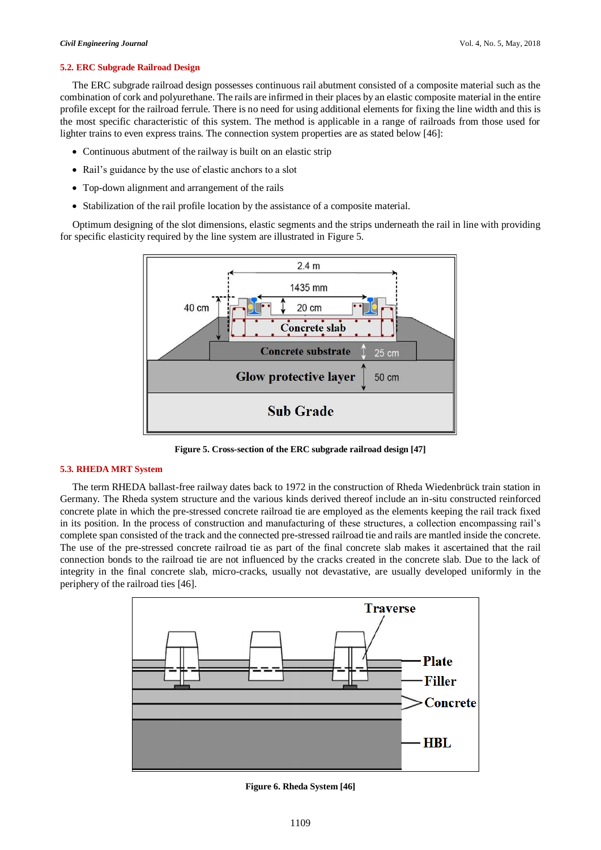#### **5.2. ERC Subgrade Railroad Design**

The ERC subgrade railroad design possesses continuous rail abutment consisted of a composite material such as the combination of cork and polyurethane. The rails are infirmed in their places by an elastic composite material in the entire profile except for the railroad ferrule. There is no need for using additional elements for fixing the line width and this is the most specific characteristic of this system. The method is applicable in a range of railroads from those used for lighter trains to even express trains. The connection system properties are as stated below [46]:

- Continuous abutment of the railway is built on an elastic strip
- Rail's guidance by the use of elastic anchors to a slot
- Top-down alignment and arrangement of the rails
- Stabilization of the rail profile location by the assistance of a composite material.

Optimum designing of the slot dimensions, elastic segments and the strips underneath the rail in line with providing for specific elasticity required by the line system are illustrated in Figure 5.



**Figure 5. Cross-section of the ERC subgrade railroad design [47]**

### **5.3. RHEDA MRT System**

The term RHEDA ballast-free railway dates back to 1972 in the construction of Rheda Wiedenbrück train station in Germany. The Rheda system structure and the various kinds derived thereof include an in-situ constructed reinforced concrete plate in which the pre-stressed concrete railroad tie are employed as the elements keeping the rail track fixed in its position. In the process of construction and manufacturing of these structures, a collection encompassing rail's complete span consisted of the track and the connected pre-stressed railroad tie and rails are mantled inside the concrete. The use of the pre-stressed concrete railroad tie as part of the final concrete slab makes it ascertained that the rail connection bonds to the railroad tie are not influenced by the cracks created in the concrete slab. Due to the lack of integrity in the final concrete slab, micro-cracks, usually not devastative, are usually developed uniformly in the periphery of the railroad ties [46].



**Figure 6. Rheda System [46]**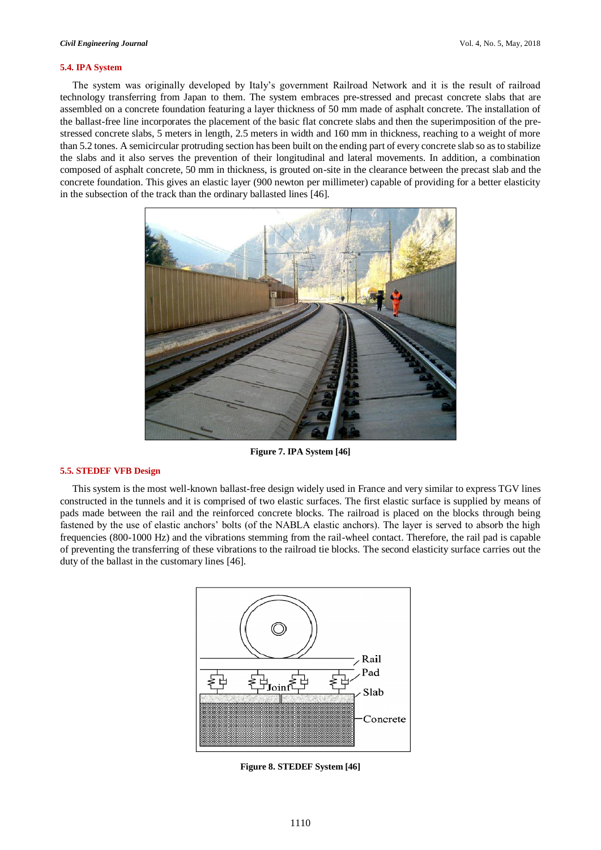#### **5.4. IPA System**

The system was originally developed by Italy's government Railroad Network and it is the result of railroad technology transferring from Japan to them. The system embraces pre-stressed and precast concrete slabs that are assembled on a concrete foundation featuring a layer thickness of 50 mm made of asphalt concrete. The installation of the ballast-free line incorporates the placement of the basic flat concrete slabs and then the superimposition of the prestressed concrete slabs, 5 meters in length, 2.5 meters in width and 160 mm in thickness, reaching to a weight of more than 5.2 tones. A semicircular protruding section has been built on the ending part of every concrete slab so as to stabilize the slabs and it also serves the prevention of their longitudinal and lateral movements. In addition, a combination composed of asphalt concrete, 50 mm in thickness, is grouted on-site in the clearance between the precast slab and the concrete foundation. This gives an elastic layer (900 newton per millimeter) capable of providing for a better elasticity in the subsection of the track than the ordinary ballasted lines [46].



**Figure 7. IPA System [46]**

## **5.5. STEDEF VFB Design**

This system is the most well-known ballast-free design widely used in France and very similar to express TGV lines constructed in the tunnels and it is comprised of two elastic surfaces. The first elastic surface is supplied by means of pads made between the rail and the reinforced concrete blocks. The railroad is placed on the blocks through being fastened by the use of elastic anchors' bolts (of the NABLA elastic anchors). The layer is served to absorb the high frequencies (800-1000 Hz) and the vibrations stemming from the rail-wheel contact. Therefore, the rail pad is capable of preventing the transferring of these vibrations to the railroad tie blocks. The second elasticity surface carries out the duty of the ballast in the customary lines [46].



**Figure 8. STEDEF System [46]**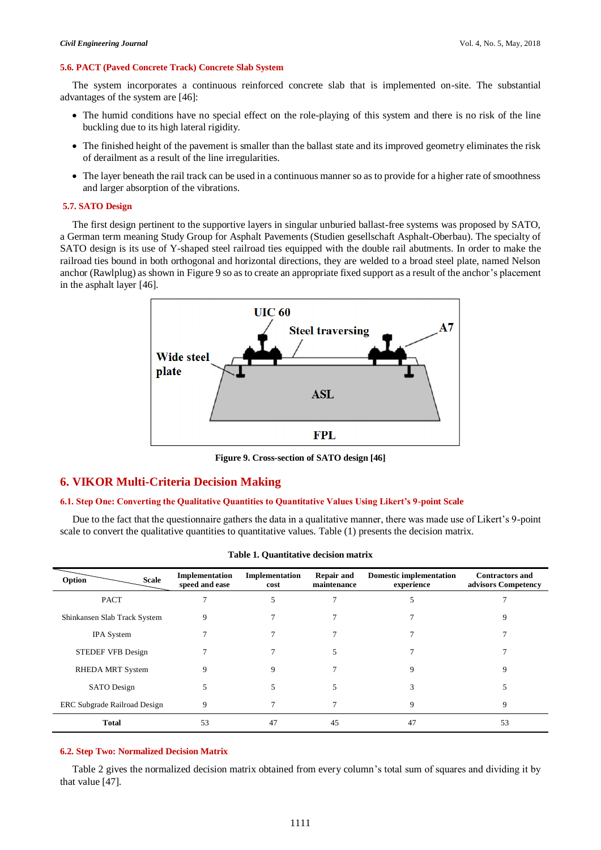#### **5.6. PACT (Paved Concrete Track) Concrete Slab System**

The system incorporates a continuous reinforced concrete slab that is implemented on-site. The substantial advantages of the system are [46]:

- The humid conditions have no special effect on the role-playing of this system and there is no risk of the line buckling due to its high lateral rigidity.
- The finished height of the pavement is smaller than the ballast state and its improved geometry eliminates the risk of derailment as a result of the line irregularities.
- The layer beneath the rail track can be used in a continuous manner so as to provide for a higher rate of smoothness and larger absorption of the vibrations.

#### **5.7. SATO Design**

The first design pertinent to the supportive layers in singular unburied ballast-free systems was proposed by SATO, a German term meaning Study Group for Asphalt Pavements (Studien gesellschaft Asphalt-Oberbau). The specialty of SATO design is its use of Y-shaped steel railroad ties equipped with the double rail abutments. In order to make the railroad ties bound in both orthogonal and horizontal directions, they are welded to a broad steel plate, named Nelson anchor (Rawlplug) as shown in Figure 9 so as to create an appropriate fixed support as a result of the anchor's placement in the asphalt layer [46].



**Figure 9. Cross-section of SATO design [46]**

# **6. VIKOR Multi-Criteria Decision Making**

#### **6.1. Step One: Converting the Qualitative Quantities to Quantitative Values Using Likert's 9-point Scale**

Due to the fact that the questionnaire gathers the data in a qualitative manner, there was made use of Likert's 9-point scale to convert the qualitative quantities to quantitative values. Table (1) presents the decision matrix.

| <b>Scale</b><br>Option              | Implementation<br>speed and ease | Implementation<br>cost | <b>Repair and</b><br>maintenance | <b>Domestic implementation</b><br>experience | <b>Contractors and</b><br>advisors Competency |
|-------------------------------------|----------------------------------|------------------------|----------------------------------|----------------------------------------------|-----------------------------------------------|
| <b>PACT</b>                         |                                  |                        |                                  |                                              |                                               |
| Shinkansen Slab Track System        | 9                                |                        |                                  |                                              | 9                                             |
| <b>IPA</b> System                   |                                  |                        |                                  |                                              |                                               |
| STEDEF VFB Design                   |                                  |                        | 5                                |                                              |                                               |
| <b>RHEDA MRT System</b>             | 9                                | 9                      |                                  | 9                                            | 9                                             |
| <b>SATO</b> Design                  | 5                                |                        | 5                                | 3                                            |                                               |
| <b>ERC Subgrade Railroad Design</b> | 9                                |                        |                                  | 9                                            | 9                                             |
| <b>Total</b>                        | 53                               | 47                     | 45                               | 47                                           | 53                                            |

## **6.2. Step Two: Normalized Decision Matrix**

Table 2 gives the normalized decision matrix obtained from every column's total sum of squares and dividing it by that value [47].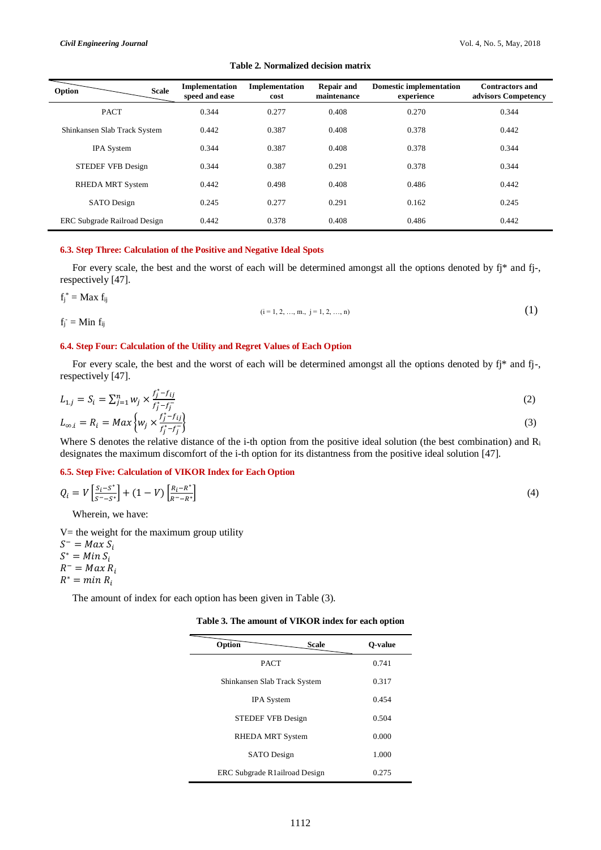| Option<br><b>Scale</b>              | Implementation<br>speed and ease | Implementation<br>cost | <b>Repair and</b><br>maintenance | <b>Domestic implementation</b><br>experience | <b>Contractors and</b><br>advisors Competency |
|-------------------------------------|----------------------------------|------------------------|----------------------------------|----------------------------------------------|-----------------------------------------------|
| <b>PACT</b>                         | 0.344                            | 0.277                  | 0.408                            | 0.270                                        | 0.344                                         |
| Shinkansen Slab Track System        | 0.442                            | 0.387                  | 0.408                            | 0.378                                        | 0.442                                         |
| <b>IPA</b> System                   | 0.344                            | 0.387                  | 0.408                            | 0.378                                        | 0.344                                         |
| <b>STEDEF VFB Design</b>            | 0.344                            | 0.387                  | 0.291                            | 0.378                                        | 0.344                                         |
| <b>RHEDA MRT System</b>             | 0.442                            | 0.498                  | 0.408                            | 0.486                                        | 0.442                                         |
| <b>SATO</b> Design                  | 0.245                            | 0.277                  | 0.291                            | 0.162                                        | 0.245                                         |
| <b>ERC Subgrade Railroad Design</b> | 0.442                            | 0.378                  | 0.408                            | 0.486                                        | 0.442                                         |

## **Table 2. Normalized decision matrix**

## **6.3. Step Three: Calculation of the Positive and Negative Ideal Spots**

For every scale, the best and the worst of each will be determined amongst all the options denoted by fj\* and fj-, respectively [47].

 $f_j^* = Max f_{ij}$ 

 $f_j$  = Min  $f_{ij}$ 

$$
(i = 1, 2, ..., m, j = 1, 2, ..., n)
$$
 (1)

# **6.4. Step Four: Calculation of the Utility and Regret Values of Each Option**

For every scale, the best and the worst of each will be determined amongst all the options denoted by fj\* and fj-, respectively [47].

$$
L_{1,j} = S_i = \sum_{j=1}^n w_j \times \frac{f_j^* - f_{ij}}{f_j^* - f_j^-}
$$
  
\n
$$
L_{\infty,i} = R_i = \text{Max}\left\{w_j \times \frac{f_j^* - f_{ij}}{f_j^* - f_j^-}\right\}
$$
\n(2)

Where S denotes the relative distance of the i-th option from the positive ideal solution (the best combination) and  $R_i$ designates the maximum discomfort of the i-th option for its distantness from the positive ideal solution [47].

#### **6.5. Step Five: Calculation of VIKOR Index for Each Option**

$$
Q_i = V \left[ \frac{S_i - S^*}{S^* - S^*} \right] + (1 - V) \left[ \frac{R_i - R^*}{R^* - R^*} \right] \tag{4}
$$

Wherein, we have:

 $V=$  the weight for the maximum group utility

 $S^-$  = Max  $S_i$  $S^* = Min S_i$ 

 $R^- = Max R_i$ 

$$
R^* = \min R_i
$$

The amount of index for each option has been given in Table (3).

**Table 3. The amount of VIKOR index for each option**

| Option<br><b>Scale</b>        | O-value |
|-------------------------------|---------|
| <b>PACT</b>                   | 0.741   |
| Shinkansen Slab Track System  | 0.317   |
| <b>IPA</b> System             | 0.454   |
| <b>STEDEF VFB Design</b>      | 0.504   |
| RHEDA MRT System              | 0.000   |
| <b>SATO</b> Design            | 1.000   |
| ERC Subgrade R1ailroad Design | 0.275   |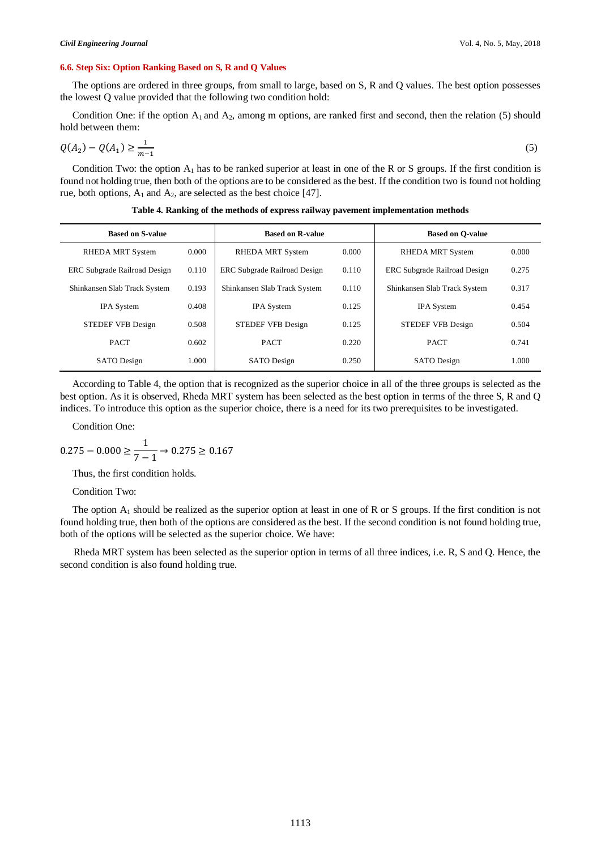#### **6.6. Step Six: Option Ranking Based on S, R and Q Values**

The options are ordered in three groups, from small to large, based on S, R and Q values. The best option possesses the lowest Q value provided that the following two condition hold:

Condition One: if the option  $A_1$  and  $A_2$ , among m options, are ranked first and second, then the relation (5) should hold between them:

$$
Q(A_2) - Q(A_1) \ge \frac{1}{m-1} \tag{5}
$$

Condition Two: the option  $A_1$  has to be ranked superior at least in one of the R or S groups. If the first condition is found not holding true, then both of the options are to be considered as the best. If the condition two is found not holding rue, both options,  $A_1$  and  $A_2$ , are selected as the best choice [47].

| <b>Based on S-value</b>             |       | <b>Based on R-value</b>             |       | <b>Based on O-value</b>             |       |  |
|-------------------------------------|-------|-------------------------------------|-------|-------------------------------------|-------|--|
| <b>RHEDA MRT System</b>             | 0.000 | <b>RHEDA MRT System</b>             | 0.000 | <b>RHEDA MRT System</b>             | 0.000 |  |
| <b>ERC Subgrade Railroad Design</b> | 0.110 | <b>ERC</b> Subgrade Railroad Design | 0.110 | <b>ERC Subgrade Railroad Design</b> | 0.275 |  |
| Shinkansen Slab Track System        | 0.193 | Shinkansen Slab Track System        | 0.110 | Shinkansen Slab Track System        | 0.317 |  |
| <b>IPA</b> System                   | 0.408 | <b>IPA</b> System                   | 0.125 | <b>IPA</b> System                   | 0.454 |  |
| <b>STEDEF VFB Design</b>            | 0.508 | <b>STEDEF VFB Design</b>            | 0.125 | <b>STEDEF VFB Design</b>            | 0.504 |  |
| <b>PACT</b>                         | 0.602 | <b>PACT</b>                         | 0.220 | <b>PACT</b>                         | 0.741 |  |
| <b>SATO</b> Design                  | 1.000 | <b>SATO</b> Design                  | 0.250 | <b>SATO</b> Design                  | 1.000 |  |

**Table 4. Ranking of the methods of express railway pavement implementation methods**

According to Table 4, the option that is recognized as the superior choice in all of the three groups is selected as the best option. As it is observed, Rheda MRT system has been selected as the best option in terms of the three S, R and Q indices. To introduce this option as the superior choice, there is a need for its two prerequisites to be investigated.

Condition One:

$$
0.275 - 0.000 \ge \frac{1}{7 - 1} \to 0.275 \ge 0.167
$$

Thus, the first condition holds.

#### Condition Two:

The option  $A_1$  should be realized as the superior option at least in one of R or S groups. If the first condition is not found holding true, then both of the options are considered as the best. If the second condition is not found holding true, both of the options will be selected as the superior choice. We have:

Rheda MRT system has been selected as the superior option in terms of all three indices, i.e. R, S and Q. Hence, the second condition is also found holding true.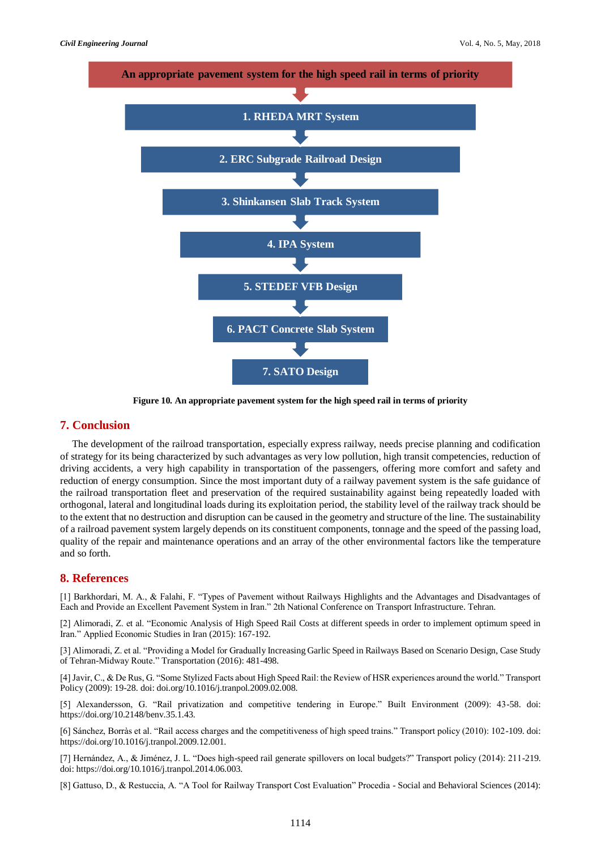

**Figure 10. An appropriate pavement system for the high speed rail in terms of priority**

## **7. Conclusion**

The development of the railroad transportation, especially express railway, needs precise planning and codification of strategy for its being characterized by such advantages as very low pollution, high transit competencies, reduction of driving accidents, a very high capability in transportation of the passengers, offering more comfort and safety and reduction of energy consumption. Since the most important duty of a railway pavement system is the safe guidance of the railroad transportation fleet and preservation of the required sustainability against being repeatedly loaded with orthogonal, lateral and longitudinal loads during its exploitation period, the stability level of the railway track should be to the extent that no destruction and disruption can be caused in the geometry and structure of the line. The sustainability of a railroad pavement system largely depends on its constituent components, tonnage and the speed of the passing load, quality of the repair and maintenance operations and an array of the other environmental factors like the temperature and so forth.

## **8. References**

[1] Barkhordari, M. A., & Falahi, F. "Types of Pavement without Railways Highlights and the Advantages and Disadvantages of Each and Provide an Excellent Pavement System in Iran." 2th National Conference on Transport Infrastructure. Tehran.

[2] Alimoradi, Z. et al. "Economic Analysis of High Speed Rail Costs at different speeds in order to implement optimum speed in Iran." Applied Economic Studies in Iran (2015): 167-192.

[3] Alimoradi, Z. et al. "Providing a Model for Gradually Increasing Garlic Speed in Railways Based on Scenario Design, Case Study of Tehran-Midway Route." Transportation (2016): 481-498.

[4] Javir, C., & De Rus, G. "Some Stylized Facts about High Speed Rail: the Review of HSR experiences around the world." Transport Policy (2009): 19-28. doi: doi.org/10.1016/j.tranpol.2009.02.008.

[5] Alexandersson, G. "Rail privatization and competitive tendering in Europe." Built Environment (2009): 43-58. doi: https://doi.org/10.2148/benv.35.1.43.

[6] Sánchez, Borràs et al. "Rail access charges and the competitiveness of high speed trains." Transport policy (2010): 102-109. doi: https://doi.org/10.1016/j.tranpol.2009.12.001.

[7] Hernández, A., & Jiménez, J. L. "Does high-speed rail generate spillovers on local budgets?" Transport policy (2014): 211-219. doi: https://doi.org/10.1016/j.tranpol.2014.06.003.

[8] Gattuso, D., & Restuccia, A. "A Tool for Railway Transport Cost Evaluation" Procedia - Social and Behavioral Sciences (2014):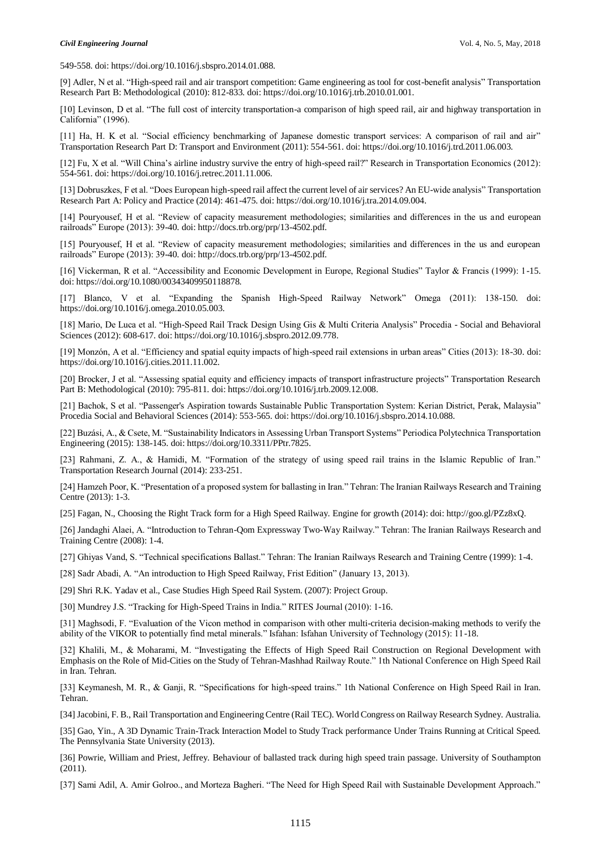549-558. doi: https://doi.org/10.1016/j.sbspro.2014.01.088.

[9] Adler, N et al. "High-speed rail and air transport competition: Game engineering as tool for cost-benefit analysis" Transportation Research Part B: Methodological (2010): 812-833. doi: https://doi.org/10.1016/j.trb.2010.01.001.

[10] Levinson, D et al. "The full cost of intercity transportation-a comparison of high speed rail, air and highway transportation in California" (1996).

[11] Ha, H. K et al. "Social efficiency benchmarking of Japanese domestic transport services: A comparison of rail and air" Transportation Research Part D: Transport and Environment (2011): 554-561. doi: https://doi.org/10.1016/j.trd.2011.06.003.

[12] Fu, X et al. "Will China's airline industry survive the entry of high-speed rail?" Research in Transportation Economics (2012): 554-561. doi: https://doi.org/10.1016/j.retrec.2011.11.006.

[13] Dobruszkes, F et al. "Does European high-speed rail affect the current level of air services? An EU-wide analysis" Transportation Research Part A: Policy and Practice (2014): 461-475. doi: https://doi.org/10.1016/j.tra.2014.09.004.

[14] Pouryousef, H et al. "Review of capacity measurement methodologies; similarities and differences in the us and european railroads" Europe (2013): 39-40. doi: http://docs.trb.org/prp/13-4502.pdf.

[15] Pouryousef, H et al. "Review of capacity measurement methodologies; similarities and differences in the us and european railroads" Europe (2013): 39-40. doi: http://docs.trb.org/prp/13-4502.pdf.

[16] Vickerman, R et al. "Accessibility and Economic Development in Europe, Regional Studies" Taylor & Francis (1999): 1-15. doi: https://doi.org/10.1080/00343409950118878.

[17] Blanco, V et al. "Expanding the Spanish High-Speed Railway Network" Omega (2011): 138-150. doi: https://doi.org/10.1016/j.omega.2010.05.003.

[18] Mario, De Luca et al. "High-Speed Rail Track Design Using Gis & Multi Criteria Analysis" Procedia - Social and Behavioral Sciences (2012): 608-617. doi: https://doi.org/10.1016/j.sbspro.2012.09.778.

[19] Monzón, A et al. "Efficiency and spatial equity impacts of high-speed rail extensions in urban areas" Cities (2013): 18-30. doi: https://doi.org/10.1016/j.cities.2011.11.002.

[20] Brocker, J et al. "Assessing spatial equity and efficiency impacts of transport infrastructure projects" Transportation Research Part B: Methodological (2010): 795-811. doi: https://doi.org/10.1016/j.trb.2009.12.008.

[21] Bachok, S et al. "Passenger's Aspiration towards Sustainable Public Transportation System: Kerian District, Perak, Malaysia" Procedia Social and Behavioral Sciences (2014): 553-565. doi: https://doi.org/10.1016/j.sbspro.2014.10.088.

[22] Buzási, A., & Csete, M. "Sustainability Indicators in Assessing Urban Transport Systems" Periodica Polytechnica Transportation Engineering (2015): 138-145. doi: https://doi.org/10.3311/PPtr.7825.

[23] Rahmani, Z. A., & Hamidi, M. "Formation of the strategy of using speed rail trains in the Islamic Republic of Iran." Transportation Research Journal (2014): 233-251.

[24] Hamzeh Poor, K. "Presentation of a proposed system for ballasting in Iran." Tehran: The Iranian Railways Research and Training Centre (2013): 1-3.

[25] Fagan, N., Choosing the Right Track form for a High Speed Railway. Engine for growth (2014): doi: http://goo.gl/PZz8xQ.

[26] Jandaghi Alaei, A. "Introduction to Tehran-Qom Expressway Two-Way Railway." Tehran: The Iranian Railways Research and Training Centre (2008): 1-4.

[27] Ghiyas Vand, S. "Technical specifications Ballast." Tehran: The Iranian Railways Research and Training Centre (1999): 1-4.

[28] Sadr Abadi, A. "An introduction to High Speed Railway, Frist Edition" (January 13, 2013).

[29] Shri R.K. Yadav et al., Case Studies High Speed Rail System. (2007): Project Group.

[30] Mundrey J.S. "Tracking for High-Speed Trains in India." RITES Journal (2010): 1-16.

[31] Maghsodi, F. "Evaluation of the Vicon method in comparison with other multi-criteria decision-making methods to verify the ability of the VIKOR to potentially find metal minerals." Isfahan: Isfahan University of Technology (2015): 11-18.

[32] Khalili, M., & Moharami, M. "Investigating the Effects of High Speed Rail Construction on Regional Development with Emphasis on the Role of Mid-Cities on the Study of Tehran-Mashhad Railway Route." 1th National Conference on High Speed Rail in Iran. Tehran.

[33] Keymanesh, M. R., & Ganji, R. "Specifications for high-speed trains." 1th National Conference on High Speed Rail in Iran. Tehran.

[34] Jacobini, F. B., Rail Transportation and Engineering Centre (Rail TEC). World Congress on Railway Research Sydney. Australia.

[35] Gao, Yin., A 3D Dynamic Train-Track Interaction Model to Study Track performance Under Trains Running at Critical Speed. The Pennsylvania State University (2013).

[36] Powrie, William and Priest, Jeffrey. Behaviour of ballasted track during high speed train passage. University of Southampton (2011).

[37] Sami Adil, A. Amir Golroo., and Morteza Bagheri. "The Need for High Speed Rail with Sustainable Development Approach."